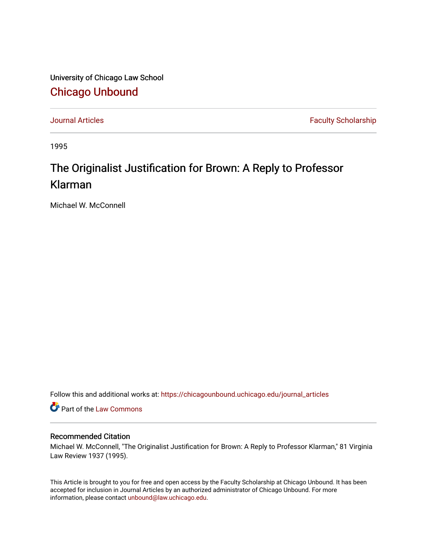University of Chicago Law School [Chicago Unbound](https://chicagounbound.uchicago.edu/)

[Journal Articles](https://chicagounbound.uchicago.edu/journal_articles) **Faculty Scholarship Faculty Scholarship** 

1995

# The Originalist Justification for Brown: A Reply to Professor Klarman

Michael W. McConnell

Follow this and additional works at: [https://chicagounbound.uchicago.edu/journal\\_articles](https://chicagounbound.uchicago.edu/journal_articles?utm_source=chicagounbound.uchicago.edu%2Fjournal_articles%2F8712&utm_medium=PDF&utm_campaign=PDFCoverPages) 

Part of the [Law Commons](http://network.bepress.com/hgg/discipline/578?utm_source=chicagounbound.uchicago.edu%2Fjournal_articles%2F8712&utm_medium=PDF&utm_campaign=PDFCoverPages)

## Recommended Citation

Michael W. McConnell, "The Originalist Justification for Brown: A Reply to Professor Klarman," 81 Virginia Law Review 1937 (1995).

This Article is brought to you for free and open access by the Faculty Scholarship at Chicago Unbound. It has been accepted for inclusion in Journal Articles by an authorized administrator of Chicago Unbound. For more information, please contact [unbound@law.uchicago.edu](mailto:unbound@law.uchicago.edu).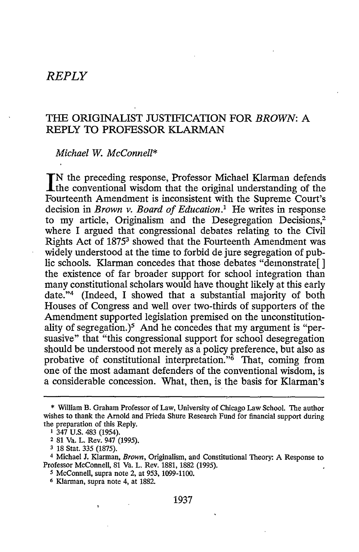# *REPLY*

# THE ORIGINALIST JUSTIFICATION FOR *BROWN: A* REPLY TO PROFESSOR KLARMAN

*Michael W. McConnell\**

**IN** the preceding response, Professor Michael Klarman defends the conventional wisdom that the original understanding of the Fourteenth Amendment is inconsistent with the Supreme Court's decision in *Brown v. Board of Education.'* He writes in response to my article, Originalism and the Desegregation Decisions,<sup>2</sup> where I argued that congressional debates relating to the Civil Rights Act of **18753** showed that the Fourteenth Amendment was widely understood at the time to forbid de jure segregation of pub**lie** schools. Klarman concedes that those debates "demonstrate[ ] the existence of far broader support for school integration than many constitutional scholars would have thought likely at this early date."<sup>4</sup> (Indeed, I showed that a substantial majority of both Houses of Congress and well over two-thirds of supporters of the Amendment supported legislation premised on the unconstitutionality of segregation.)<sup>5</sup> And he concedes that my argument is "persuasive" that "this congressional support for school desegregation should be understood not merely as a policy preference, but also as probative of constitutional interpretation."<sup>6</sup> That, coming from one of the most adamant defenders of the conventional wisdom, is a considerable concession. What, then, is the basis for Klarman's

- **5** McConnell, supra note 2, at 953, 1099-1100.
- **<sup>6</sup>**Klarman, supra note 4, at 1882.

**<sup>\*</sup>** William B. Graham Professor of Law, University of Chicago Law School. The author wishes to thank the Arnold and Frieda Shure Research Fund for financial support during the preparation of this Reply. **<sup>1</sup>**347 U.S. 483 (1954).

<sup>2</sup>**81** Va. L. Rev. 947 (1995).

**<sup>3</sup>** 18 Stat. 335 (1875).

<sup>4</sup> Michael J. Klarman, *Brown,* Originalism, and Constitutional Theory: A Response to Professor McConnell, **81** Va. L. Rev. 1881, 1882 (1995).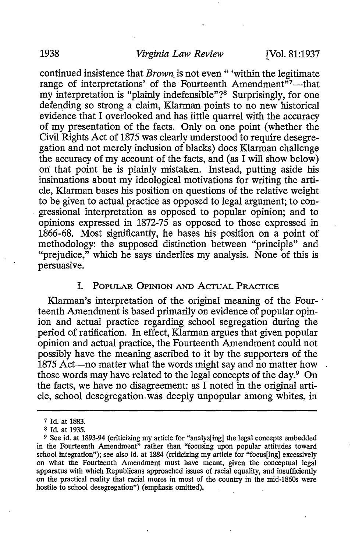continued insistence that *Brown.* is not even" 'within the legitimate range of interpretations' of the Fourteenth Amendment"7---that my interpretation is "plainly indefensible"?<sup>8</sup> Surprisingly, for one defending so strong a claim, Klarman points to no new historical evidence that I overlooked and has little quarrel with the accuracy of my presentation of the facts. Only on one point (whether the Civil Rights Act of 1875 was clearly understood to require desegregation and not merely inclusion of blacks) does Klarman challenge the accuracy of my account of the facts, and (as I will show below) on that point he is plainly mistaken. Instead, putting aside his insinuations about my ideological motivations for writing the article, Klarman bases his position on questions of the relative weight to be given to actual practice as opposed to legal argument; to congressional interpretation as opposed to popular opinion; and to opinions expressed in 1872-75 as opposed to those expressed in 1866-68. Most significantly, he bases his position on a point of methodology: the supposed distinction between "principle" and "prejudice," which he says underlies my analysis. None of this is persuasive.

#### I. POPULAR OPINION AND ACTUAL PRACTICE

Klarman's interpretation of the original meaning of the Fourteenth Amendment is based primarily on evidence of popular opinion and actual practice regarding school segregation during the period of ratification. In effect, Klarman argues that given popular opinion and actual practice, the Fourteenth Amendment could not possibly have the meaning ascribed to it by the supporters of the 1875 Act-no matter what the words might say and no matter how those words may have related to the legal concepts of the day.9 On the facts, we have no disagreement: as I noted in the original article, school desegregation-was deeply unpopular among whites, in

**<sup>7</sup>** Id. at 1883.

**<sup>8</sup>** Id. at 1935.

**<sup>9</sup>** See id. at 1893-94 (criticizing my article for "analyz[ing] the legal concepts embedded in the Fourteenth Amendment" rather than "focusing upon popular attitudes toward school integration"); see also id. at 1884 (criticizing my article for "focus[ing] excessively on what the Fourteenth Amendment must have meant, given the conceptual legal apparatus with which Republicans approached issues of racial equality, and insufficiently on the practical reality that racial mores in most of the country in the mid-1860s were hostile to school desegregation") (emphasis omitted).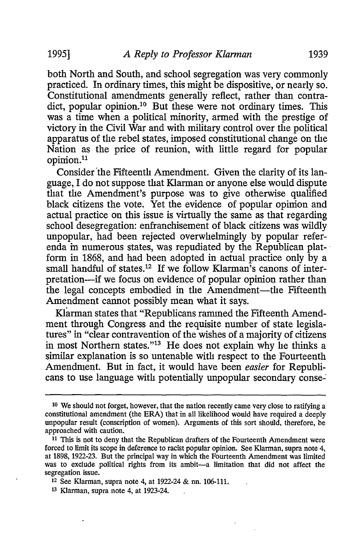both North and South, and school segregation was very commonly practiced. In ordinary times, this might be dispositive, or nearly so. Constitutional amendments generally reflect, rather than contradict, popular opinion.<sup>10</sup> But these were not ordinary times. This was a time when a political minority, armed with the prestige of victory in the Civil War and with military control over the political apparatus of the rebel states, imposed constitutional change on the Nation as the price of reunion, with little regard for popular opinion.<sup>11</sup>

Consider the Fifteenth Amendment. Given the clarity of its language, I do not suppose that Klarman or anyone else would dispute that the Amendment's purpose was to give otherwise qualified black citizens the vote. Yet the evidence of popular opimon and actual practice on this issue is virtually the same as that regarding school desegregation: enfranchisement of black citizens was wildly unpopular, had been rejected overwhelmingly by popular referenda in numerous states, was repudiated by the Republican platform in 1868, and had been adopted in actual practice only by a small handful of states.<sup>12</sup> If we follow Klarman's canons of interpretation-if we focus on evidence of popular opinion rather than the legal concepts embodied in the Amendment-the Fifteenth Amendment cannot possibly mean what it says.

Klarman states that "Republicans rammed the Fifteenth Amendment through Congress and the requisite number of state legislatures" in "clear contravention of the wishes of a majority of citizens in most Northern states."<sup>13</sup> He does not explain why he thinks a similar explanation is so untenable with respect to the Fourteenth Amendment. But in fact, it would have been *easier* for Republicans to use language with potentially unpopular secondary conse-

**i0** We should not forget, however, that the nation recently came very close to ratifying a constitutional amendment (the ERA) that in all likelihood would have required a deeply unpopular result (conscription of women). Arguments of this sort should, therefore, be approached with caution.

**<sup>11</sup>** This is not to deny that the Republican drafters of the Fourteenth Amendment were forced to limit its scope in deference to racist popular opinion. See Klarman, supra note 4, at 1898, 1922-23. But the principal way in which the Fourteenth Amendment was limited was to exclude political rights from its ambit-a limitation that did not affect the segregation issue.

<sup>12</sup>See Klarman, supra note 4, at 1922-24 & nn. 106-111.

**<sup>13</sup>**Klarman, supra note 4, at 1923-24.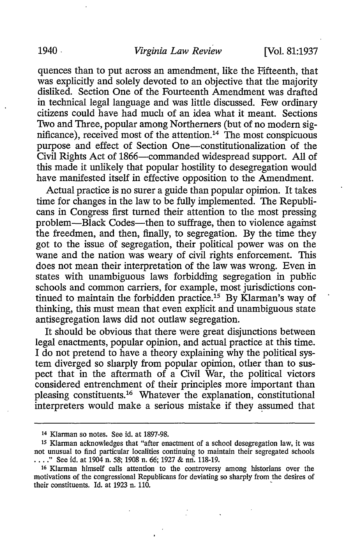quences than to put across an amendment, like the Fifteenth, that was explicitly and solely devoted to an objective that the majority disliked. Section One of the Fourteenth Amendment was drafted in technical legal language and was little discussed. Few ordinary citizens could have had much of an idea what it meant. Sections Two and Three, popular among Northerners (but of no modem significance), received most of the attention.14 The most conspicuous purpose and effect of Section One-constitutionalization of the Civil Rights Act of 1866-commanded widespread support. All of this made it unlikely that popular hostility to desegregation would have manifested itself in effective opposition to the Amendment.

Actual practice is no surer a guide than popular opinion. It takes time for changes in the law to be fully implemented. The Republicans in Congress first turned their attention to the most pressing problem—Black Codes—then to suffrage, then to violence against the freedmen, and then, finally, to segregation. By the time they got to the issue of segregation, their political power was on the wane and the nation was weary of civil rights enforcement. This does not mean their interpretation of the law was wrong. Even in states with unambiguous laws forbidding segregation in public schools and common carriers, for example, most jurisdictions continued to maintain the forbidden practice.<sup>15</sup> By Klarman's way of thinking, this must mean that even explicit and unambiguous state antisegregation laws did not outlaw segregation.

It should be obvious that there were great disjunctions between legal enactments, popular opinion, and actual practice at this time. I do not pretend to have a theory explaining why the political system diverged so sharply from popular opinion, other than to suspect that in the aftermath of a Civil War, the political victors considered entrenchment of their principles more important than pleasing constituents.<sup>16</sup> Whatever the explanation, constitutional interpreters would make a serious mistake if they assumed that

<sup>14</sup>Klarman so notes. See id. at 1897-98.

**<sup>15</sup>**Klarman acknowledges that "after enactment of a school desegregation law, it was not unusual to find particular localities continuing to maintain their segregated schools ... **."** See id. at 1904 n. 58; 1908 n. 66; 1927 & nn. 118-19.

**<sup>16</sup>**Klarman himself calls attention to the controversy among historians over the motivations of the congressional Republicans for deviating so sharply from the desires of their constituents. Id. at 1923 n. 110.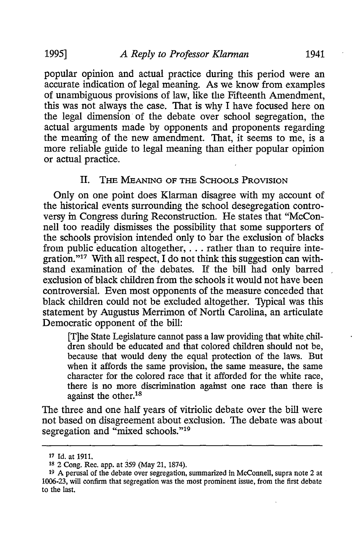popular opinion and actual practice during this period were an accurate indication of legal meaning. As we know from examples of unambiguous provisions of law, like the Fifteenth Amendment, this was not always the case. That is why I have focused here on the legal dimension of the debate over school segregation, the actual arguments made by opponents and proponents regarding the meaning of the new amendment. That, it seems to me, is a more reliable guide to legal meaning than either popular opinion or actual practice.

## II. THE **MEANING** OF THE SCHOOLS PROVISION

Only on one point does Klarman disagree with my account of the historical events surrounding the school desegregation controversy in Congress during Reconstruction. He states that "McConnell too readily dismisses the possibility that some supporters of the schools provision intended only to bar the exclusion of blacks from public education altogether, . . . rather than to require integration."<sup>17</sup> With all respect, I do not think this suggestion can withstand examination of the debates. If the bill had only barred exclusion of black children from the schools it would not have been controversial. Even most opponents of the measure conceded that black children could not be excluded altogether. Typical was this statement by Augustus Merrimon of North Carolina, an articulate Democratic opponent of the bill:

[T]he State Legislature cannot pass a law providing that white children should be educated and that colored children should not be, because that would deny the equal protection of the laws. But when it affords the same provision, the same measure, the same character for the colored race that it afforded for the white race, there is no more discrimination against one race than there is against the other.<sup>18</sup>

The three and one half years of vitriolic debate over the bill were not based on disagreement about exclusion. The debate was about segregation and "mixed schools."<sup>19</sup>

**<sup>17</sup>**Id. at 1911.

**<sup>18</sup>**2 Cong. Rec. app. at 359 (May 21, 1874).

**<sup>19</sup>**A perusal of the debate over segregation, summarized in McConnell, supra note 2 at 1006-23, will confirm that segregation was the most prominent issue, from the first debate to the last.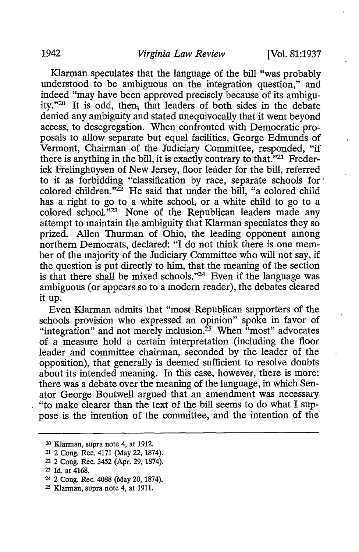Klarman speculates that the language of the bill "was probably understood to be ambiguous on the integration question," and indeed "may have been approved precisely because of its ambigu-<br>ity."<sup>20</sup> It is odd, then, that leaders of both sides in the debate denied any ambiguity and stated unequivocally that it went beyond access, to desegregation. When confronted with Democratic proposals to allow separate but equal facilities, George Edmunds of Vermont, Chairman of the Judiciary Committee, responded, "if there is anything in the bill, it is exactly contrary to that."<sup>21</sup> Frederick Frelinghuysen of New Jersey, floor leader for the bill, referred to it as forbidding "classification by race, separate schools forcolored children." $22$  He said that under the bill, "a colored child has a right to go to a white school, or a white child to go to a colored school."<sup>23</sup> None of the Republican leaders made any attempt to maintain the ambiguity that Klarman speculates they so prized. Allen Thurman of Ohio, the leading opponent among northern Democrats, declared: "I do not think there is one member of the majority of the Judiciary Committee who will not say, if the question is put directly to him, that the meaning of the section is that there shall be mixed schools."<sup>24</sup> Even if the language was ambiguous (or appears so to a modem reader), the debates cleared it up.

Even Klarman admits that "most Republican supporters of the schools provision who expressed an opinion" spoke in favor of "integration" and not merely inclusion.<sup>25</sup> When  $\ddot{u}$  most" advocates of a measure hold a certain interpretation (including the floor leader and committee chairman, seconded by the leader of the opposition), that generally is deemed sufficient to resolve doubts about its intended meaning. In this case, however, there is more: there was a debate over the meaning of the language, in which Senator George Boutwell argued that an amendment was necessary "to make clearer than the text of the bill seems to do what I suppose is the intention of the committee, and the intention of the

<sup>24</sup>2 Cong. Rec. 4088 (May 20, 1874).

<sup>20</sup>Klarnian, supra note 4, at 1912.

<sup>21</sup>2 Cong. Rec. 4171 (May 22, 1874).

<sup>22</sup>2 Cong. Rec. 3452 (Apr. 29, 1874).

**<sup>23</sup>**Id. at 4168.

**<sup>25</sup>**Klarman, supra note 4, at 1911.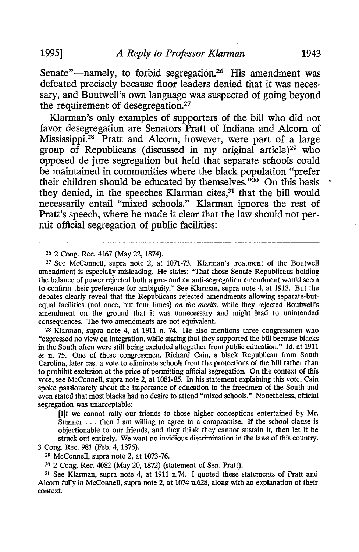Senate"-namely, to forbid segregation.<sup>26</sup> His amendment was defeated precisely because floor leaders denied that it was necessary, and Boutwell's own language was suspected of going beyond the requirement of desegregation.<sup>27</sup>

Klarman's only examples of supporters of the bill who did not favor desegregation are Senators Pratt of Indiana and Alcorn of Mississippi.<sup>28</sup> Pratt and Alcorn, however, were part of a large group of Republicans (discussed in my original article)<sup>29</sup> who opposed de jure segregation but held that separate schools could be maintained in communities where the black population "prefer their children should be educated by themselves.<sup> $30$ </sup> On this basis they denied, in the speeches Klarman cites,<sup>31</sup> that the bill would necessarily entail "mixed schools." Klarman ignores the rest of Pratt's speech, where he made it clear that the law should not permit official segregation of public facilities:

**<sup>28</sup>**Klarman, supra note 4, at 1911 n. 74. He also mentions three congressmen who "expressed no view on integration, while stating that they supported the bill because blacks in the South often were still being excluded altogether from public education." Id. at 1911 & n. 75. One of these congressmen, Richard Cain, a black Republican from South Carolina, later cast a vote to eliminate schools from the protections of the bill rather than to prohibit exclusion at the price of permitting official segregation. On the context of this vote, see McConnell, supra note 2, at 1081-85. In his statement explaining this vote, Cain spoke passionately about the importance of education to the freedmen of the South and even stated that most blacks had no desire to attend "mixed schools." Nonetheless, official segregation was unacceptable:

[I]f we cannot rally our friends to those higher conceptions entertained by Mr. Sumner  $\dots$  then I am willing to agree to a compromise. If the school clause is objectionable to our friends, and they think they cannot sustain it, then let it be struck out entirely. We want no invidious discrimination in the laws of this country.

3 Cong. Rec. 981 (Feb. 4, 1875).

**<sup>29</sup>**McConnell, supra note 2, at 1073-76.

**<sup>30</sup>**2 Cong. Rec. 4082 (May 20, 1872) (statement of Sen. Pratt).

**<sup>31</sup>**See Klarman, supra note 4, at 1911 n.74. I quoted these statements of Pratt and Alcom fully in McConnell, supra note 2, at 1074 n.628, along with an explanation of their context.

**<sup>26</sup>**2 Cong. Rec. 4167 (May 22, 1874).

**<sup>27</sup>**See McConnell, supra note 2, at 1071-73. Klarman's treatment of the Boutwell amendment is especially misleading. He states: "That those Senate Republicans holding the balance of power rejected both a pro- and an anti-segregation amendment would seem to confirm their preference for ambiguity." See Klarman, supra note 4, at 1913. But the debates clearly reveal that the Republicans rejected amendments allowing separate-butequal facilities (not once, but four times) *on the merits,* while they rejected Boutwell's amendment on the ground that it was unnecessary and might lead to unintended consequences. The two amendments are not equivalent.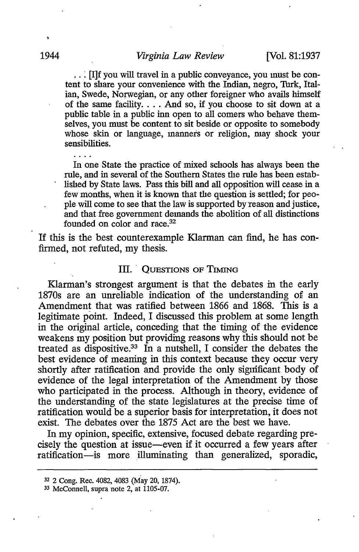**..** [I]f you will travel in a public conveyance, you must be content to share your convenience with the Indian, negro, Turk, Italian, Swede, Norwegian, or any other foreigner who avails himself of the same facility.... And so, if you choose to sit down at a public table in a public inn open to all comers who behave themselves, you must be content to sit beside or opposite to somebody whose skin or language, manners or religion, may shock your sensibilities.

In one State the practice of mixed schools has always been the rule, and in several of the Southern States the rule has been established by State laws. Pass this bill and all opposition will cease in a few months, when it is known that the question is settled; for people will come to see that the law is supported by reason and justice, and that free government demands the abolition of all distinctions founded on color and race.<sup>32</sup>

If this is the best counterexample Klarman can find, he has confirmed, not refuted, my thesis.

### III. **QUESTIONS** OF TIMING

Klarman's strongest argument is that the debates in the early 1870s are an unreliable indication of the understanding of an Amendment that was ratified between 1866 and 1868. This is a legitimate point. Indeed, I discussed this problem at some length in the original article, conceding that the timing of the evidence weakens my position but providing reasons why this should not be treated as dispositive.<sup>33</sup> In a nutshell, I consider the debates the best evidence of meaning in this context because they occur very shortly after ratification and provide the only significant body of evidence of the legal interpretation of the Amendment by those who participated in the process. Although in theory, evidence of the understanding of the state legislatures at the precise time of ratification would be a superior basis for interpretation, it does not exist. The debates over the 1875 Act are the best we have.

In my opinion, specific, extensive, focused debate regarding precisely the question at issue-even if it occurred a few years after ratification- is more illuminating than generalized, sporadic,

**<sup>32</sup>**2 Cong. Rec. 4082, 4083 (May 20, **1874).**

**<sup>33</sup>**McConnell, supra note 2, at **1105-07.**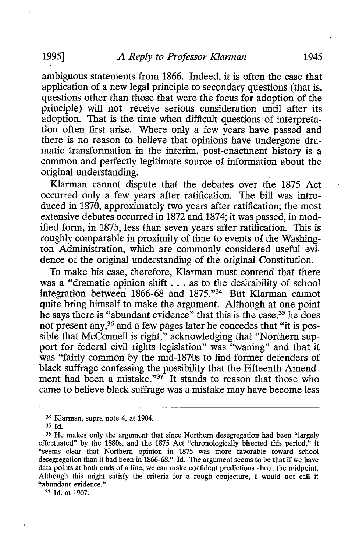ambiguous statements from 1866. Indeed, it is often the case that application of a new legal principle to secondary questions (that is, questions other than those that were the focus for adoption of the principle) will not receive serious consideration until after its adoption. That is the time when difficult questions of interpretation often first arise. Where only a few years have passed and there is no reason to believe that opinions have undergone dramatic transformation in the interim, post-enactment history is a common and perfectly legitimate source of information about the original understanding.

Klarman cannot dispute that the debates over the 1875 Act occurred only a few years after ratification. The bill was introduced in 1870, approximately two years after ratification; the most extensive debates occurred in 1872 and 1874; it was passed, in modified form, in 1875, less than seven years after ratification. This is roughly comparable in proximity of time to events of the Washington Administration, which are commonly considered useful evidence of the original understanding of the original Constitution.

To make his case, therefore, Klarman must contend that there was a "dramatic opinion shift **...** as to the desirability of school integration between 1866-68 and 1875."<sup>34</sup> But Klarman caimot quite bring himself to make the argument. Although at one point he says there is "abundant evidence" that this is the case,<sup>35</sup> he does not present any,<sup>36</sup> and a few pages later he concedes that "it is possible that McConnell is right," acknowledging that "Northern support for federal civil rights legislation" was "waning" and that it was "fairly common by the mid-1870s to find former defenders of black suffrage confessing the possibility that the Fifteenth Amendment had been a mistake."<sup>37</sup> It stands to reason that those who came to believe black suffrage was a mistake may have become less

<sup>37</sup>Id. at 1907.

<sup>34</sup>Klarman, supra note 4, at 1904.

**<sup>35</sup>**Id.

<sup>&</sup>lt;sup>36</sup> He makes only the argument that since Northern desegregation had been "largely effectuated" by the 1880s, and the 1875 Act "chronologically bisected this period," it "seems clear that Northern opinion in 1875 was more favorable toward school desegregation than it had been in 1866-68." Id. The argument seems to be that if we have data points at both ends of a line, we can make confident predictions about the midpoint. Although this might satisfy the criteria for a rough conjecture, I would not call it "abundant evidence."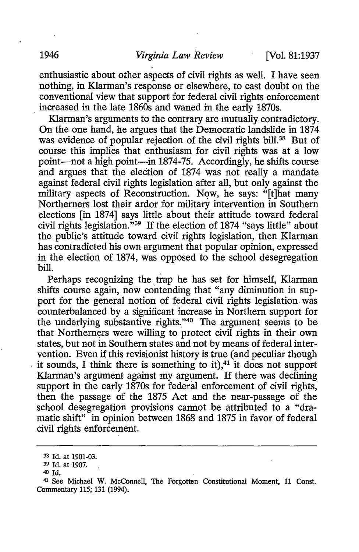enthusiastic about other aspects of civil rights as well. I have seen nothing, in Klarman's response or elsewhere, to cast doubt on the conventional view that support for federal civil rights enforcement increased in the late 1860s and waned in the early 1870s.

Klarman's arguments to the contrary are mutually contradictory. On the one hand, he argues that the Democratic landslide in 1874 was evidence of popular rejection of the civil rights bill.<sup>38</sup> But of course this implies that enthusiasm for civil rights was at a low point—not a high point—in 1874-75. Accordingly, he shifts course and argues that the election of 1874 was not really a mandate against federal civil rights legislation after all, but only against the military aspects of Reconstruction. Now, he says: "[t]hat many Northerners lost their ardor for military intervention in Southern elections [in 1874] says little about their attitude toward federal civil rights legislation."39 If the election of 1874 "says little" about the public's attitude toward civil rights legislation, then Klarman has contradicted his own argument that popular opinion, expressed in the election of 1874, was opposed to the school desegregation bill.

Perhaps recognizing the trap he has set for himself, Klarman shifts course again, now contending that "any diminution in support for the general notion of federal civil rights legislation-was counterbalanced by a significant increase in Northern support for the underlying substantive rights."<sup>40</sup> The argument seems to be that Northerners were willing to protect civil rights in their own states, but not in Southern states and not by means of federal intervention. Even if this revisionist history is true (and peculiar though it sounds, I think there is something to it), $41$  it does not support Klarman's argument against my argument. If there was declining support in the early 1870s for federal enforcement of civil rights, then the passage of the 1875 Act and the near-passage of the school desegregation provisions cannot be attributed to a "dramatic shift" in opinion between 1868 and 1875 in favor of federal civil rights enforcement.

**<sup>38</sup>**Id. at 1901-03.

**<sup>39</sup>**Id. at 1907.

<sup>40</sup> Id.

<sup>41</sup> See Michael W. McConnell, The Forgotten Constitutional Moment, 11 Const. Commentary 115; 131 (1994).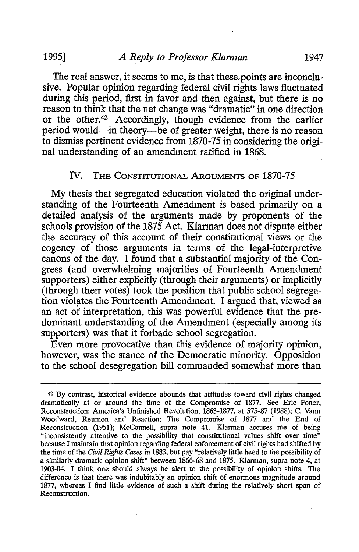The real answer, it seems to me, is that these points are inconclusive. Popular opinion regarding federal civil rights laws fluctuated during this period, first in favor and then against, but there is no reason to think that the net change was "dramatic" in one direction or the other.42 Accordingly, though evidence from the earlier period would-in theory-be of greater weight, there is no reason to dismiss pertinent evidence from 1870-75 in considering the original understanding of an amendment ratified in 1868.

#### IV. THE CONSTITUTIONAL ARGUMENTS OF 1870-75

My thesis that segregated education violated the original understanding of the Fourteenth Amendment is based primarily on a detailed analysis of the arguments made by proponents of the schools provision of the 1875 Act. Klarman does not dispute either the accuracy of this account of their constitutional views or the cogency of those arguments in terms of the legal-interpretive canons of the day. I found that a substantial majority of the Congress (and overwhelming majorities of Fourteenth Amendment supporters) either explicitly (through their arguments) or implicitly (through their votes) took the position that public school segregation violates the Fourteenth Amendment. I argued that, viewed as an act of interpretation, this was powerful evidence that the predominant understanding of the Amendment (especially among its supporters) was that it forbade school segregation.

Even more provocative than this evidence of majority opinion, however, was the stance of the Democratic minority. Opposition to the school desegregation bill commanded somewhat more than

<sup>42</sup>By contrast, historical evidence abounds that attitudes toward civil rights changed dramatically at or around the time of the Compromise of 1877. See Eric Foner, Reconstruction: America's Unfinished Revolution, 1863-1877, at 575-87 (1988); C. Vann Woodward, Reunion and Reaction: The Compromise of 1877 and the End of Reconstruction (1951); McConnell, supra note 41. Klarman accuses me of being "inconsistently attentive to the possibility that constitutional values shift over time" because I maintain that opinion regarding federal enforcement of civil rights had shifted by the time of the *Civil Rights Cases* in 1883, but pay "relatively little heed to the possibility of a similarly dramatic opinion shift" between 1866-68 and 1875. Klarman, supra note 4, at 1903-04. I think one should always be alert to the possibility of opinion shifts. The difference is that there was indubitably an opinion shift of enormous magnitude around 1877, whereas I find little evidence of such a shift during the relatively short span of Reconstruction.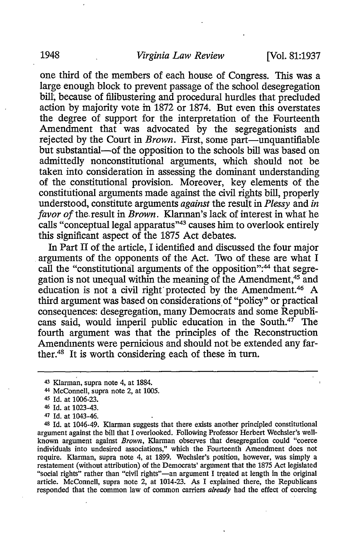one third of the members of each house of Congress. This was a large enough block to prevent passage of the school desegregation bill; because of filibustering and procedural hurdles that precluded action by majority vote in 1872 or 1874. But even this overstates the degree of support for the interpretation of the Fourteenth Amendment that was advocated by the segregationists and rejected by the Court in *Brown*. First, some part—unquantifiable but substantial-of the opposition to the schools bill was based on admittedly nonconstitutional arguments, which should not be taken into consideration in assessing the dominant understanding of the constitutional provision. Moreover, key elements of the constitutional arguments made against the civil rights bill, properly understood, constitute arguments *against* the result in *Plessy* and *in favor of* the.result in *Brown.* Klarman's lack of interest in what he calls "conceptual legal apparatus"<sup>43</sup> causes him to overlook entirely this significant aspect of the 1875 Act debates.

In Part II of the article, I identified and discussed the four major arguments of the opponents of the Act. Two of these are what I call the "constitutional arguments of the opposition":44 that segregation is not unequal within the meaning of the Amendment,<sup>45</sup> and education is not a civil right' protected by the Amendment.46 A third argument was based on considerations of "policy" or practical consequences: desegregation, many Democrats and some Republicans said, would imperil public education in the South.47 The fourth argument was that the principles of the Reconstruction Amendments were pernicious and should not be extended any farther.48 It is worth considering each of these in turn.

46 Id. at 1023-43.

<sup>43</sup> Klarman, supra note 4, at 1884.

<sup>44</sup> McConnell, supra note 2, at **1005.**

<sup>45</sup> Id. at 1006-23.

<sup>47</sup> Id. at 1043-46.

<sup>48</sup> Id. at 1046-49. Klarman suggests that there exists another principled constitutional argument against the bill that I overlooked. Following Professor Herbert Wechsler's wellknown argument against *Brown,* Klarman observes that desegregation could "coerce individuals into undesired associations," which the Fourteenth Amendment does not require. Klarman, supra note 4, at 1899. Wechsler's position, however, was simply a restatement (without attribution) of the Democrats' argument that the 1875 Act legislated "social rights" rather than "civil rights"-an argument I treated at length in the original article. McConnell, supra note 2, at 1014-23. As I explained there, the Republicans responded that the common law of common carriers *already* had the effect of coercing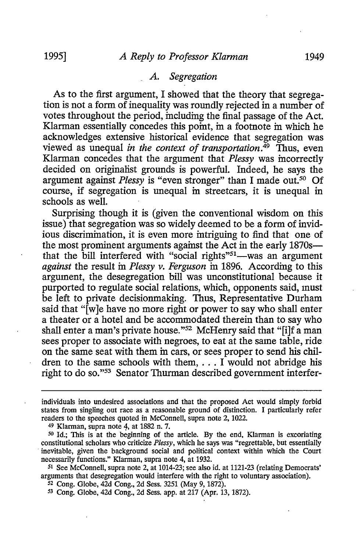# *A. Segregation*

As to the first argument, I showed that the theory that segregation is not a form of inequality was roundly rejected in a number of votes throughout the period, including the final passage of the Act. Klarman essentially concedes this point, in a footnote in which he acknowledges extensive historical evidence that segregation was viewed as unequal *in the context of transportation.49* Thus, even Klarman concedes that the argument that *Plessy* was incorrectly decided on originalist grounds is powerful. Indeed, he says the argument against *Plessy* is "even stronger" than I made out.<sup>50</sup> Of course, if segregation is unequal in streetcars, it is unequal in schools as well.

Surprising though it is (given the conventional wisdom on this issue) that segregation was so widely deemed to be a form of invidious discrimination, it is even more intriguing to find that one of the most prominent arguments against the Act in the early 1870sthat the bill interfered with "social rights"<sup>51</sup>—was an argument *against* the result in *Plessy v. Ferguson* in 1896. According to this argument, the desegregation bill was unconstitutional because it purported to regulate social relations, which, opponents said, must be left to private decisionmaking. Thus, Representative Durham said that "[w]e have no more right or power to say who shall enter a theater or a hotel and be accommodated therein than to say who shall enter a man's private house."<sup>52</sup> McHenry said that "[i]f a man sees proper to associate with negroes, to eat at the same table, ride on the same seat with them in cars, or sees proper to send his children to the same schools with them,  $\ldots$  I would not abridge his right to do so."<sup>53</sup> Senator Thurman described government interfer-

49 Klarman, supra note 4, at 1882 n. 7.

*<sup>50</sup>*Id.; This is at the beginning of the article. By the end, Klarman is excoriating constitutional scholars who criticize *Plessy,* which he says was "regrettable, but essentially inevitable, given the background social and political context within which the Court necessarily functions." Klarman, supra note 4, at 1932.

**<sup>51</sup>**See McConnell, supra note 2, at 1014-23; see also id. at 1121-23 (relating Democrats' arguments that desegregation would interfere with the right to voluntary association).

**<sup>52</sup>**Cong. Globe, 42d Cong., 2d Sess. 3251 (May 9, 1872).

**<sup>53</sup>**Cong. Globe, 42d Cong., 2d Sess. app. at 217 (Apr. 13, 1872).

individuals into undesired associations and that the proposed Act would simply forbid states from singling out race as a reasonable ground of distinction. I particularly refer readers to the speeches quoted in McConnell, supra note 2, 1022.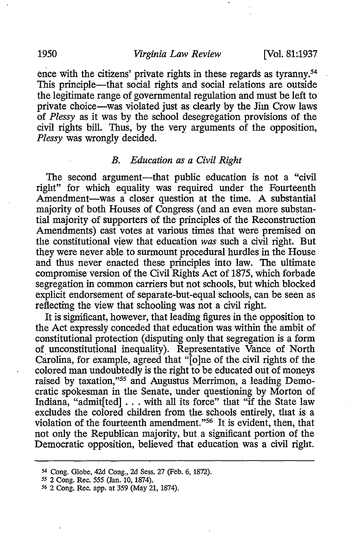ence with the citizens' private rights in these regards as tyranny.<sup>54</sup> This principle—that social rights and social relations are outside the legitimate range of governmental regulation and must be left to private choice-was violated just as clearly by the Jim Crow laws of *Plessy* as it was by the school desegregation provisions of the civil rights bill. Thus, by the very arguments of the opposition, *Plessy* was wrongly decided.

## *B. Education as a Civil Right*

The second argument---that public education is not a "civil right" for which equality was required under the Fourteenth Amendment--was a closer question at the time. A substantial majority of both Houses of Congress (and an even more substantial majority of supporters of the principles of the Reconstruction Amendments) cast votes at various times that were premised on the constitutional view that education *was* such a civil right. But they were never able to surmount procedural hurdles in the House and thus never enacted these principles into law. The ultimate compromise version of the Civil Rights Act of 1875, which forbade segregation in common carriers but not schools, but which blocked explicit endorsement of separate-but-equal schools, can be seen as reflecting the view that schooling was not a civil right.

It is significant, however, that leading figures in the opposition to the Act expressly conceded that education was within the ambit of constitutional protection (disputing only that segregation is a form of unconstitutional inequality). Representative Vance of North Carolina, for example, agreed that "[o]ne of the civil rights of the colored man undoubtedly is the right to be educated out of moneys raised by taxation,"<sup>55</sup> and Augustus Merrimon, a leading Democratic spokesman in the Senate, under questioning by Morton of Indiana, "admit[ted] . . . with all its force" that "if the State law excludes the colored children from the. schools entirely, that is a violation of the fourteenth amendment."<sup>56</sup> It is evident, then, that not only the Republican majority, but a significant portion of the Democratic opposition, believed that education was a civil right.

<sup>54</sup> Cong. Globe, 42d Cong., 2d Sess. 27 (Feb. 6, 1872).

**<sup>55</sup>**2 Cong. Rec. **555** (Jan. 10, 1874).

**<sup>56</sup>**2 Cong. Rec. app. at **359** (May 21, 1874).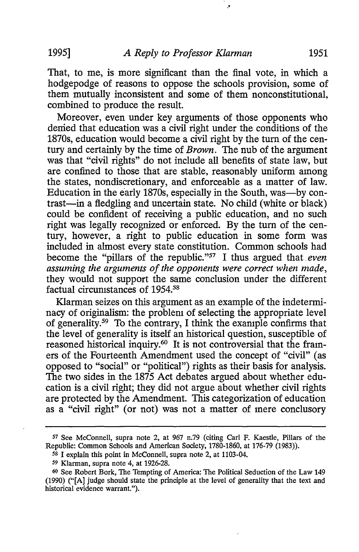That, to me, is more significant than the final vote, in which a hodgepodge of reasons to oppose the schools provision, some of them mutually inconsistent and some of them nonconstitutional, combined to produce the result.

Moreover, even under key arguments of those opponents who denied that education was a civil right under the conditions of the 1870s, education would become a civil right by the turn of the century and certainly by the time of *Brown.* The nub of the argument was that "civil rights" do not include all benefits of state law, but are confined to those that are stable, reasonably uniform among the states, nondiscretionary, and enforceable as a matter of law. Education in the early 1870s, especially in the South, was—by contrast-in a fledgling and uncertain state. No child (white or black) could be confident of receiving a public education, and no such right was legally recognized or enforced. By the turn of the century, however, a right to public education in some form was included in almost every state constitution. Common schools had become the "pillars of the republic."<sup>57</sup> I thus argued that *even assuming the arguments of the opponents were correct when made,* they would not support the same conclusion under the different factual circumstances of 1954.<sup>58</sup>

Klarman seizes on this argument as an example of the indeterminacy of originalism: the problem of selecting the appropriate level of generality.<sup>59</sup> To the contrary, I think the example confirms that the level of generality is itself an historical question, susceptible of reasoned historical inquiry.<sup>60</sup> It is not controversial that the framers of the Fourteenth Amendment used the concept of "civil" (as opposed to "social" or "political") rights as their basis for analysis. The two sides in the 1875 Act debates argued about whether education is a civil right; they did not argue about whether civil rights are protected by the Amendment. This categorization of education as a "civil right" (or not) was not a matter of mere conclusory

**<sup>57</sup>**See McConnell, supra note 2, at **967** n.79 (citing Carl F. Kaestle, Pillars of the Republic: Common Schools and American Society, 1780-1860, at 176-79 (1983)).

**<sup>58</sup>**I explain this point in McConnell, supra note 2, at 1103-04.

**<sup>59</sup>**Klarman, supra note 4, at 1926-28.

**<sup>60</sup>**See Robert Bork, The Tempting of America: The Political Seduction of the Law 149 (1990) **("[A]** judge should state the principle at the level of generality that the text and historical evidence warrant.").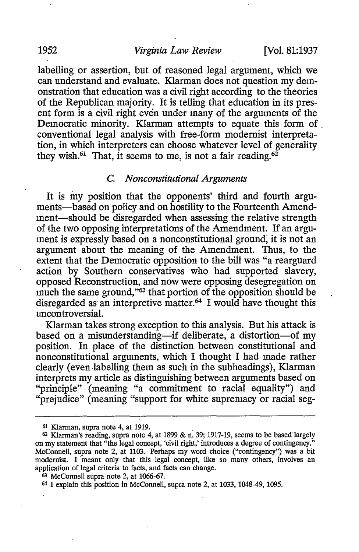# *Virginia Law Review* **1952** [Vol. **81:1937**

labelling or assertion, but of reasoned legal argument, which we can understand and evaluate. Klarman does not question my demonstration that education was a civil right according to the theories of the Republican majority. It is telling that education in its present form is a civil right even under many of the arguments of the Democratic minority. Klarman attempts to equate this form of conventional legal analysis with free-form modernist interpretation, in which interpreters can choose whatever level of generality they wish.<sup>61</sup> That, it seems to me, is not a fair reading.<sup>62</sup>

#### *C. Nonconstitutional Arguments*

It is my position that the opponents' third and fourth arguments-based on policy and on hostility to the Fourteenth Amendment-should be disregarded when assessing the relative strength of the two opposing interpretations of the Amendment. If an argument is expressly based on a nonconstitutional ground, it is not an argument about the meaning of the Amendment. Thus, to the extent that the Democratic opposition to the bill was "a rearguard action by Southern conservatives who had supported slavery, opposed Reconstruction, and now were opposing desegregation on much the same ground," $63$  that portion of the opposition should be disregarded as an interpretive matter.<sup>64</sup> I would have thought this uncontroversial.

Klarman takes strong exception to this analysis. But his attack is based on a misunderstanding-if deliberate, a distortion-of my position. In place of the distinction between constitutional and nonconstitutional arguments, which I thought I had made rather clearly (even labelling them as such in the subheadings), Klarman interprets my article as distinguishing between arguments based on metripled my article as distinguishing between arguments based on<br>"principle" (meaning "a commitment to racial equality") and "prejudice" (meaning "support for white supremacy or racial seg-

**<sup>61</sup>** Klarman, supra note 4, at 1919.

**<sup>62</sup>**Klarman's reading, supra note 4, at 1899 & n. 39; 1917-19, seems to be based'largely on my statement that "the legal concept, 'civil right,' introduces a degree of contingency." McConnell, supra note 2, at 1103. Perhaps my word choice ("contingency") was a bit modernist. I meant only that this legal concept, like so many others, involves an application of legal criteria to facts, and facts can change.

**<sup>63</sup>** McConnell supra note 2, at 1066-67.

<sup>64</sup>**1** explain this position in McConnell, supra note 2, at 1033, 1048-49, 1095.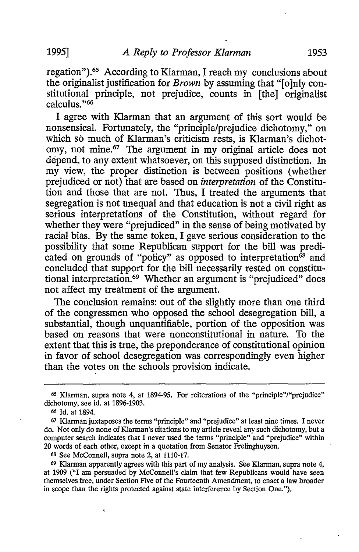regation").<sup>65</sup> According to Klarman, I reach my conclusions about the originalist justification for *Brown* by assuming that "[o]nly constitutional principle, not prejudice, counts in [the] originalist calculus."<sup>66</sup>

I agree with Klarman that an argument of this sort would be nonsensical. Fortunately, the "principle/prejudice dichotomy," on which so much of Klarman's criticism rests, is Klarman's dichotomy, not mine.67 The argument in my original article does not depend, to any extent whatsoever, on this supposed distinction. In my view, the proper distinction is between positions (whether prejudiced or not) that are based on *interpretation* of the Constitution and those that are not. Thus, I treated the arguments that segregation is not unequal and that education is not a civil right as serious interpretations of the Constitution, without regard for whether they were "prejudiced" in the sense of being motivated by racial bias. By the same token, I gave serious consideration to the possibility that some Republican support for the bill was predicated on grounds of "policy" as opposed to interpretation $\delta$ <sup>8</sup> and concluded that support for the bill necessarily rested on constitutional interpretation.69 Whether an argument is "prejudiced" does not affect my treatment of the argument.

The conclusion remains: out of the slightly more than one third of the congressmen who opposed the school desegregation bill, a substantial, though unquantifiable, portion of the opposition was based on reasons that were nonconstitutional in nature. To the extent that this is true, the preponderance of constitutional opinion in favor of school desegregation was correspondingly even higher than the votes on the schools provision indicate.

**<sup>68</sup>**See McConnell, supra note 2, at 1110-17.

69 Klarman apparently agrees with this part of my analysis. See Klarman, supra note 4, at 1909 ("I am persuaded by McConnell's claim that few Republicans would have seen themselves free, under Section Five of the Fourteenth Amendment, to enact a law broader in scope than the rights protected against state interference by Section One.").

<sup>65</sup> Klarman, supra note 4, at 1894-95. For reiterations of the "principle"/"prejudice" dichotomy, see id. at 1896-1903.

**<sup>66</sup>**Id. at 1894.

<sup>67</sup> Klarman juxtaposes the terms "principle" and "prejudice" at least nine times. I never do. Not only do none of KIarman's citations to my article reveal any such dichotomy, but a computer search indicates that I never used the terms "principle" and "prejudice" within 20 words of each other, except in a quotation from Senator Frelinghuysen.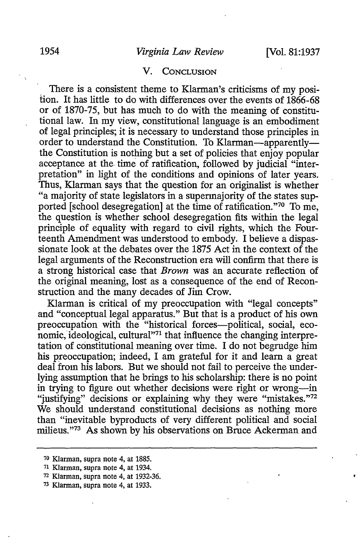#### V. **CONCLUSION**

There is a consistent theme to Klarman's criticisms of my posifion. It has little to do with differences over the events of 1866-68 or of 1870-75, but has much to do with the meaning of constitutional law. In my view, constitutional language is an embodiment of legal principles; it is necessary to understand those principles in order to understand the Constitution. To Klarman-apparentlythe Constitution is nothing but a set of policies that enjoy popular acceptance at the time of ratification, followed by judicial "interpretation" in light of the conditions and opinions of later years. Thus, Klarman says that the question for an originalist is whether "a majority of state legislators in a supermajority of the states supported [school desegregation] at the time of ratification."<sup>70</sup> To me, the question is whether school desegregation fits within the legal principle of equality with regard to civil rights, which the Fourteenth Amendment was understood to embody. I believe a dispassionate look at the debates over the 1875 Act in the context of the legal arguments of the Reconstruction era will confirm that there is a strong historical case that *Brown* was an accurate reflection of the original meaning, lost as a consequence of the end of Reconstruction and the many decades of Jim Crow.

Klarman is critical of my preoccupation with "legal concepts" and "conceptual legal apparatus." But that is a product of his own preoccupation with the "historical forces-political, social, economic, ideological, cultural<sup>"71</sup> that influence the changing interpretation of constitutional meaning over time. I do not begrudge him his preoccupation; indeed, I am grateful for it and learn a great deal from his labors. But we should not fail to perceive the underlying assumption that he brings to his scholarship: there is no point in trying to figure out whether decisions were right or wrong-in "justifying" decisions or explaining why they were "mistakes."72 We should understand constitutional decisions as nothing more than "inevitable byproducts of very different political and social milieus."<sup>73</sup> As shown by his observations on Bruce Ackerman and

**<sup>70</sup>**Klarman, supra note 4, at 1885.

**<sup>71</sup>**Klarman, supra note 4, at 1934.

**<sup>72</sup>**Klarman, supra note 4, at 1932-36.

**<sup>73</sup>**Klarman, supra note 4, at 1933.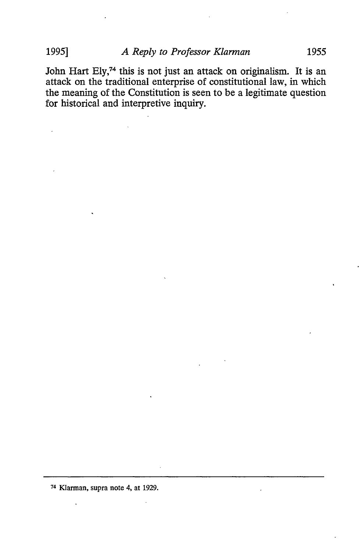John Hart Ely,<sup>74</sup> this is not just an attack on originalism. It is an attack on the traditional enterprise of constitutional law, in which the meaning of the Constitution is seen to be a legitimate question for historical and interpretive inquiry.

<sup>74</sup>Klarman, supra note 4, at **1929.**